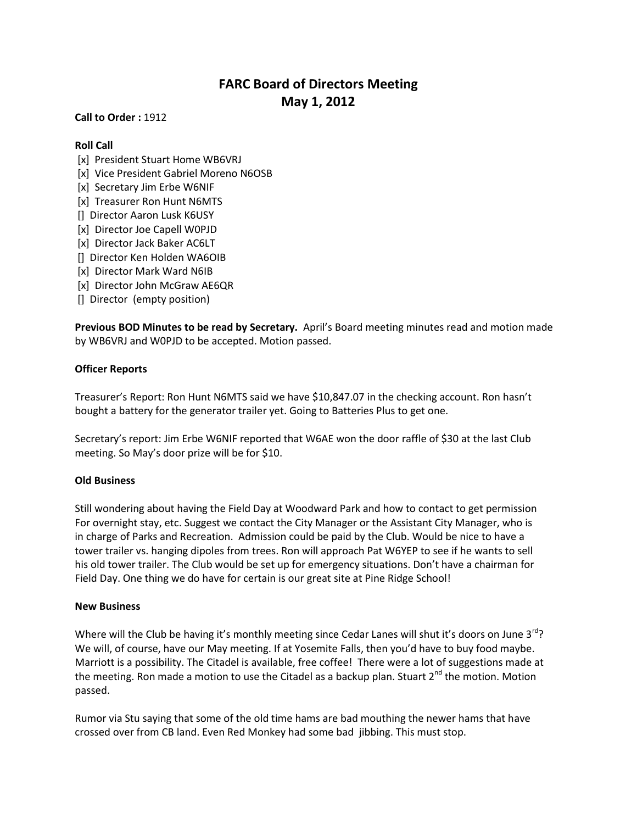# **FARC Board of Directors Meeting May 1, 2012**

**Call to Order :** 1912

# **Roll Call**

- [x] President Stuart Home WB6VRJ
- [x] Vice President Gabriel Moreno N6OSB
- [x] Secretary Jim Erbe W6NIF
- [x] Treasurer Ron Hunt N6MTS
- [] Director Aaron Lusk K6USY
- [x] Director Joe Capell W0PJD
- [x] Director Jack Baker AC6LT
- [] Director Ken Holden WA6OIB
- [x] Director Mark Ward N6IB
- [x] Director John McGraw AE6QR
- [] Director (empty position)

**Previous BOD Minutes to be read by Secretary.** April's Board meeting minutes read and motion made by WB6VRJ and W0PJD to be accepted. Motion passed.

# **Officer Reports**

Treasurer's Report: Ron Hunt N6MTS said we have \$10,847.07 in the checking account. Ron hasn't bought a battery for the generator trailer yet. Going to Batteries Plus to get one.

Secretary's report: Jim Erbe W6NIF reported that W6AE won the door raffle of \$30 at the last Club meeting. So May's door prize will be for \$10.

# **Old Business**

Still wondering about having the Field Day at Woodward Park and how to contact to get permission For overnight stay, etc. Suggest we contact the City Manager or the Assistant City Manager, who is in charge of Parks and Recreation. Admission could be paid by the Club. Would be nice to have a tower trailer vs. hanging dipoles from trees. Ron will approach Pat W6YEP to see if he wants to sell his old tower trailer. The Club would be set up for emergency situations. Don't have a chairman for Field Day. One thing we do have for certain is our great site at Pine Ridge School!

# **New Business**

Where will the Club be having it's monthly meeting since Cedar Lanes will shut it's doors on June  $3^{rd}$ ? We will, of course, have our May meeting. If at Yosemite Falls, then you'd have to buy food maybe. Marriott is a possibility. The Citadel is available, free coffee! There were a lot of suggestions made at the meeting. Ron made a motion to use the Citadel as a backup plan. Stuart 2<sup>nd</sup> the motion. Motion passed.

Rumor via Stu saying that some of the old time hams are bad mouthing the newer hams that have crossed over from CB land. Even Red Monkey had some bad jibbing. This must stop.